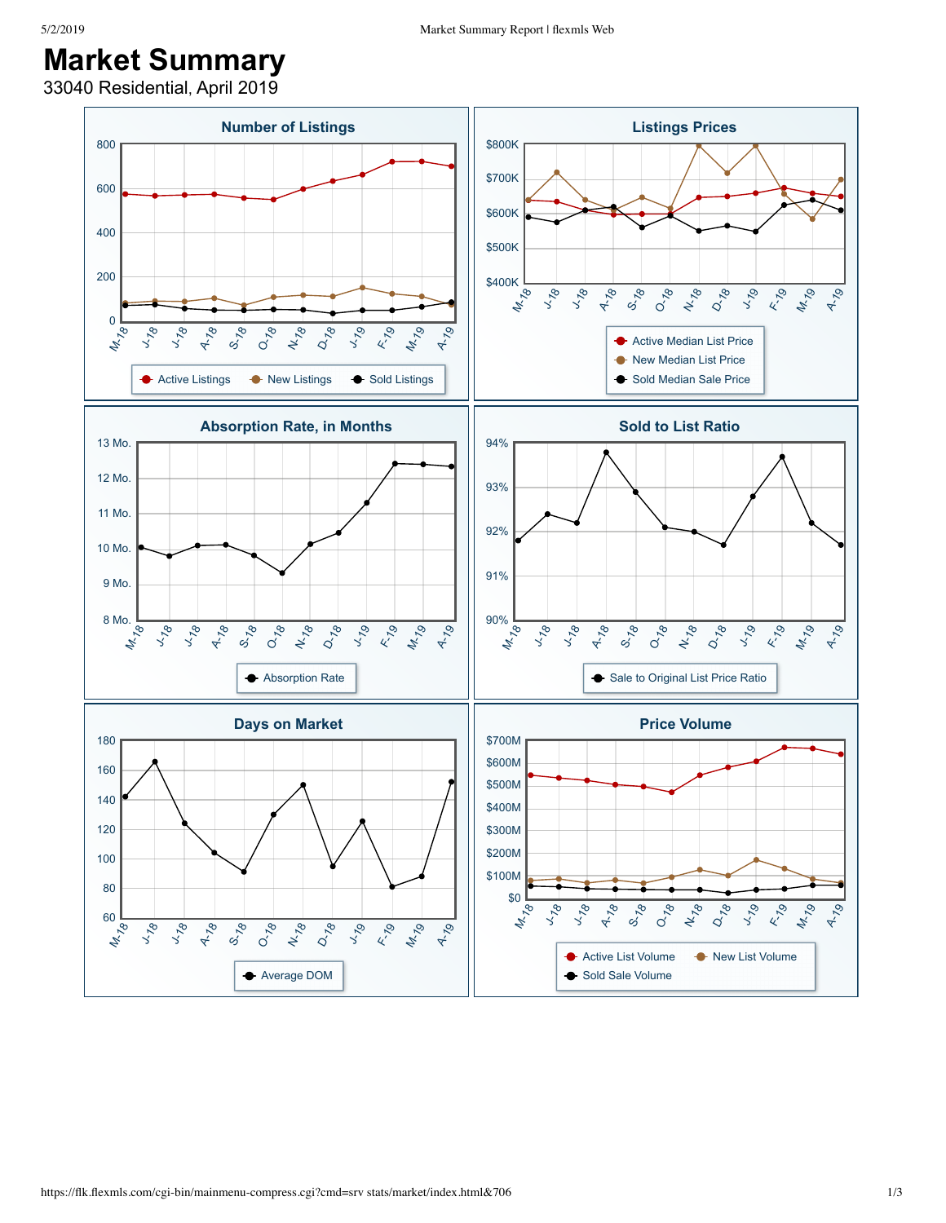## **Market Summary**

33040 Residential, April 2019

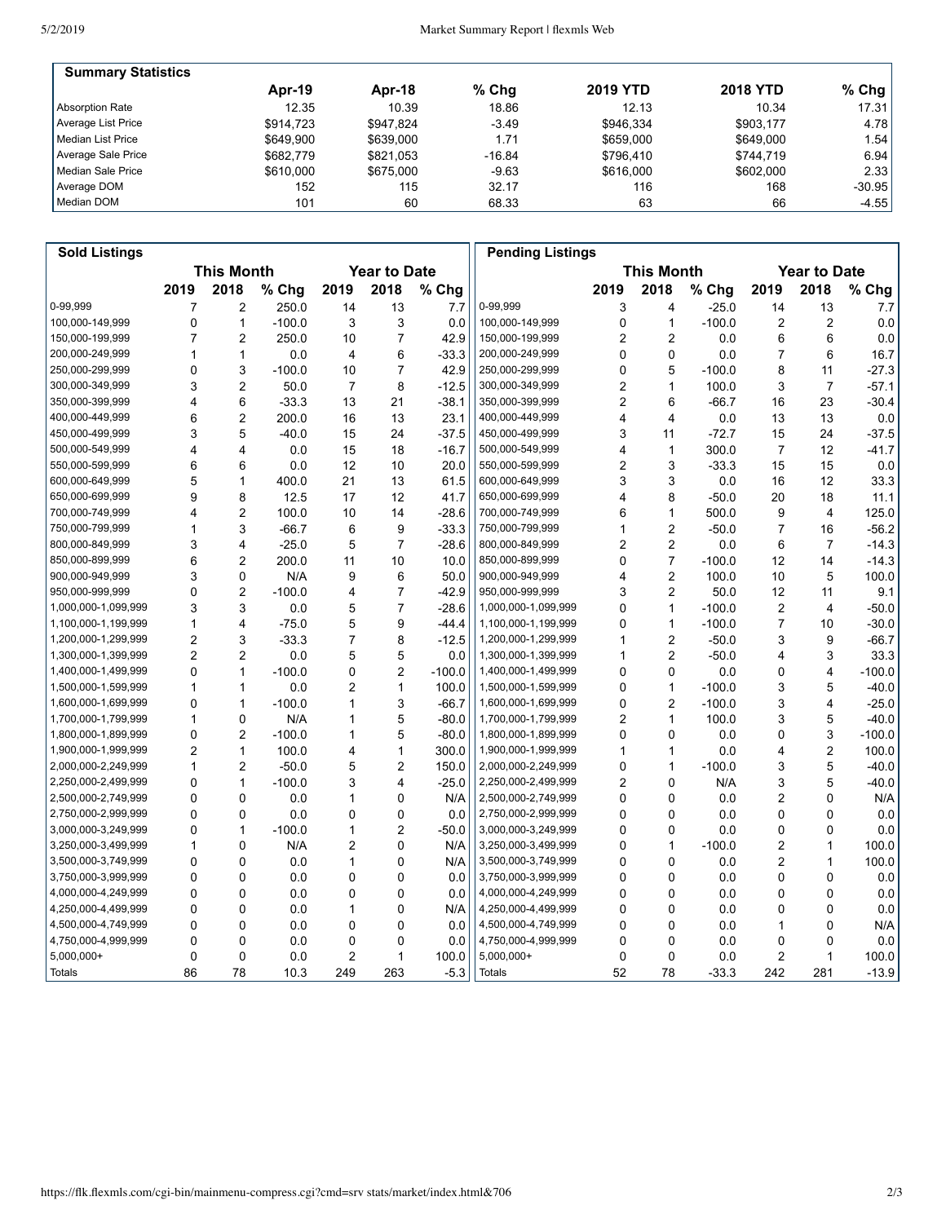| <b>Summary Statistics</b> |           |           |          |                 |                 |          |
|---------------------------|-----------|-----------|----------|-----------------|-----------------|----------|
|                           | Apr-19    | Apr-18    | $%$ Chq  | <b>2019 YTD</b> | <b>2018 YTD</b> | $%$ Chg  |
| Absorption Rate           | 12.35     | 10.39     | 18.86    | 12.13           | 10.34           | 17.31    |
| Average List Price        | \$914.723 | \$947.824 | $-3.49$  | \$946.334       | \$903,177       | 4.78     |
| l Median List Price       | \$649.900 | \$639,000 | 1.71     | \$659,000       | \$649,000       | 1.54 l   |
| Average Sale Price        | \$682.779 | \$821.053 | $-16.84$ | \$796.410       | \$744.719       | 6.94     |
| Median Sale Price         | \$610,000 | \$675,000 | $-9.63$  | \$616,000       | \$602,000       | 2.33     |
| Average DOM               | 152       | 115       | 32.17    | 116             | 168             | $-30.95$ |
| Median DOM                | 101       | 60        | 68.33    | 63              | 66              | $-4.55$  |

| <b>Sold Listings</b> |                                          |                         |          |                |                |                   | <b>Pending Listings</b> |                         |                         |          |                |                |          |
|----------------------|------------------------------------------|-------------------------|----------|----------------|----------------|-------------------|-------------------------|-------------------------|-------------------------|----------|----------------|----------------|----------|
|                      | <b>This Month</b><br><b>Year to Date</b> |                         |          |                |                | <b>This Month</b> |                         | <b>Year to Date</b>     |                         |          |                |                |          |
|                      | 2019                                     | 2018                    | % Chg    | 2019           | 2018           | % Chg             |                         | 2019                    | 2018                    | $%$ Chg  | 2019           | 2018           | % Chg    |
| 0-99,999             | 7                                        | $\overline{2}$          | 250.0    | 14             | 13             | 7.7               | 0-99,999                | 3                       | $\overline{4}$          | $-25.0$  | 14             | 13             | 7.7      |
| 100,000-149,999      | 0                                        | $\mathbf{1}$            | $-100.0$ | 3              | 3              | 0.0               | 100,000-149,999         | $\mathbf 0$             | $\mathbf{1}$            | $-100.0$ | 2              | $\overline{2}$ | 0.0      |
| 150,000-199,999      | 7                                        | $\overline{2}$          | 250.0    | 10             | 7              | 42.9              | 150,000-199,999         | 2                       | $\overline{2}$          | 0.0      | 6              | 6              | 0.0      |
| 200,000-249,999      | 1                                        | $\mathbf{1}$            | 0.0      | 4              | 6              | $-33.3$           | 200,000-249,999         | $\Omega$                | $\mathbf 0$             | 0.0      | 7              | 6              | 16.7     |
| 250,000-299,999      | $\mathbf 0$                              | 3                       | $-100.0$ | 10             | $\overline{7}$ | 42.9              | 250,000-299,999         | $\mathbf 0$             | 5                       | $-100.0$ | 8              | 11             | $-27.3$  |
| 300,000-349,999      | 3                                        | $\overline{2}$          | 50.0     | $\overline{7}$ | 8              | $-12.5$           | 300,000-349,999         | $\overline{2}$          | $\mathbf{1}$            | 100.0    | 3              | $\overline{7}$ | $-57.1$  |
| 350,000-399,999      | 4                                        | 6                       | $-33.3$  | 13             | 21             | $-38.1$           | 350,000-399,999         | $\overline{2}$          | 6                       | $-66.7$  | 16             | 23             | $-30.4$  |
| 400,000-449,999      | 6                                        | $\overline{2}$          | 200.0    | 16             | 13             | 23.1              | 400,000-449,999         | $\overline{\mathbf{4}}$ | $\overline{\mathbf{4}}$ | 0.0      | 13             | 13             | 0.0      |
| 450,000-499,999      | 3                                        | 5                       | $-40.0$  | 15             | 24             | $-37.5$           | 450,000-499,999         | 3                       | 11                      | $-72.7$  | 15             | 24             | $-37.5$  |
| 500,000-549,999      | 4                                        | $\overline{4}$          | 0.0      | 15             | 18             | $-16.7$           | 500,000-549,999         | 4                       | $\mathbf{1}$            | 300.0    | $\overline{7}$ | 12             | $-41.7$  |
| 550,000-599,999      | 6                                        | 6                       | 0.0      | 12             | 10             | 20.0              | 550,000-599,999         | 2                       | 3                       | $-33.3$  | 15             | 15             | 0.0      |
| 600,000-649,999      | 5                                        | $\mathbf{1}$            | 400.0    | 21             | 13             | 61.5              | 600,000-649,999         | 3                       | 3                       | 0.0      | 16             | 12             | 33.3     |
| 650,000-699,999      | 9                                        | 8                       | 12.5     | 17             | 12             | 41.7              | 650,000-699,999         | 4                       | 8                       | $-50.0$  | 20             | 18             | 11.1     |
| 700,000-749,999      | 4                                        | $\overline{2}$          | 100.0    | 10             | 14             | $-28.6$           | 700,000-749,999         | 6                       | $\mathbf{1}$            | 500.0    | 9              | $\overline{4}$ | 125.0    |
| 750,000-799,999      | 1                                        | 3                       | $-66.7$  | 6              | 9              | $-33.3$           | 750,000-799,999         | 1                       | $\overline{2}$          | $-50.0$  | $\overline{7}$ | 16             | $-56.2$  |
| 800,000-849,999      | 3                                        | $\overline{4}$          | $-25.0$  | 5              | 7              | $-28.6$           | 800,000-849,999         | 2                       | $\overline{2}$          | 0.0      | 6              | 7              | $-14.3$  |
| 850,000-899,999      | 6                                        | $\overline{\mathbf{c}}$ | 200.0    | 11             | 10             | 10.0              | 850,000-899,999         | 0                       | $\overline{7}$          | $-100.0$ | 12             | 14             | $-14.3$  |
| 900,000-949,999      | 3                                        | $\mathbf 0$             | N/A      | 9              | 6              | 50.0              | 900,000-949,999         | 4                       | $\overline{2}$          | 100.0    | 10             | 5              | 100.0    |
| 950,000-999,999      | 0                                        | $\overline{2}$          | $-100.0$ | 4              | 7              | $-42.9$           | 950,000-999,999         | 3                       | $\overline{2}$          | 50.0     | 12             | 11             | 9.1      |
| 1,000,000-1,099,999  | 3                                        | 3                       | 0.0      | 5              | 7              | $-28.6$           | 1,000,000-1,099,999     | 0                       | $\mathbf{1}$            | $-100.0$ | 2              | 4              | $-50.0$  |
| 1,100,000-1,199,999  | 1                                        | $\overline{4}$          | $-75.0$  | 5              | 9              | $-44.4$           | 1,100,000-1,199,999     | 0                       | $\mathbf{1}$            | $-100.0$ | $\overline{7}$ | 10             | $-30.0$  |
| 1,200,000-1,299,999  | $\overline{2}$                           | 3                       | $-33.3$  | $\overline{7}$ | 8              | $-12.5$           | 1,200,000-1,299,999     | 1                       | $\overline{2}$          | $-50.0$  | 3              | 9              | $-66.7$  |
| 1,300,000-1,399,999  | $\overline{2}$                           | $\overline{2}$          | 0.0      | 5              | 5              | 0.0               | 1,300,000-1,399,999     | 1                       | $\overline{2}$          | $-50.0$  | 4              | 3              | 33.3     |
| 1,400,000-1,499,999  | 0                                        | $\mathbf{1}$            | $-100.0$ | 0              | 2              | $-100.0$          | 1,400,000-1,499,999     | 0                       | 0                       | 0.0      | 0              | 4              | $-100.0$ |
| 1,500,000-1,599,999  | 1                                        | $\mathbf{1}$            | 0.0      | 2              | 1              | 100.0             | 1,500,000-1,599,999     | 0                       | $\mathbf{1}$            | $-100.0$ | 3              | 5              | $-40.0$  |
| 1,600,000-1,699,999  | 0                                        | $\mathbf{1}$            | $-100.0$ | 1              | 3              | $-66.7$           | 1,600,000-1,699,999     | 0                       | $\overline{2}$          | $-100.0$ | 3              | 4              | $-25.0$  |
| 1,700,000-1,799,999  | 1                                        | $\mathbf 0$             | N/A      | 1              | 5              | $-80.0$           | 1,700,000-1,799,999     | $\overline{2}$          | $\mathbf{1}$            | 100.0    | 3              | 5              | $-40.0$  |
| 1,800,000-1,899,999  | 0                                        | $\overline{2}$          | $-100.0$ | 1              | 5              | $-80.0$           | 1,800,000-1,899,999     | 0                       | $\mathbf 0$             | 0.0      | 0              | 3              | $-100.0$ |
| 1,900,000-1,999,999  | $\overline{2}$                           | $\mathbf{1}$            | 100.0    | 4              | 1              | 300.0             | 1,900,000-1,999,999     | 1                       | $\mathbf{1}$            | 0.0      | 4              | $\overline{2}$ | 100.0    |
| 2,000,000-2,249,999  | $\mathbf{1}$                             | $\overline{2}$          | $-50.0$  | 5              | $\overline{2}$ | 150.0             | 2,000,000-2,249,999     | $\mathbf 0$             | $\mathbf{1}$            | $-100.0$ | 3              | 5              | $-40.0$  |
| 2,250,000-2,499,999  | 0                                        | $\mathbf{1}$            | $-100.0$ | 3              | 4              | $-25.0$           | 2,250,000-2,499,999     | 2                       | $\mathbf 0$             | N/A      | 3              | 5              | $-40.0$  |
| 2,500,000-2,749,999  | 0                                        | $\mathbf 0$             | 0.0      | 1              | 0              | N/A               | 2,500,000-2,749,999     | 0                       | $\mathbf 0$             | 0.0      | 2              | 0              | N/A      |
| 2,750,000-2,999,999  | 0                                        | $\mathbf 0$             | 0.0      | 0              | 0              | 0.0               | 2,750,000-2,999,999     | 0                       | 0                       | 0.0      | 0              | 0              | 0.0      |
| 3,000,000-3,249,999  | $\Omega$                                 | $\mathbf{1}$            | $-100.0$ | 1              | $\overline{2}$ | $-50.0$           | 3,000,000-3,249,999     | 0                       | 0                       | 0.0      | 0              | 0              | 0.0      |
| 3,250,000-3,499,999  | $\mathbf{1}$                             | $\mathbf 0$             | N/A      | 2              | 0              | N/A               | 3,250,000-3,499,999     | $\mathbf 0$             | $\mathbf{1}$            | $-100.0$ | 2              | 1              | 100.0    |
| 3,500,000-3,749,999  | 0                                        | $\mathbf 0$             | 0.0      | 1              | 0              | N/A               | 3,500,000-3,749,999     | 0                       | $\mathbf 0$             | 0.0      | 2              | 1              | 100.0    |
| 3,750,000-3,999,999  | 0                                        | $\mathbf 0$             | 0.0      | 0              | 0              | 0.0               | 3,750,000-3,999,999     | 0                       | $\mathbf 0$             | 0.0      | 0              | 0              | 0.0      |
| 4,000,000-4,249,999  | 0                                        | 0                       | 0.0      | 0              | 0              | 0.0               | 4,000,000-4,249,999     | 0                       | 0                       | 0.0      | 0              | 0              | 0.0      |
| 4,250,000-4,499,999  | $\mathbf 0$                              | $\mathbf 0$             | 0.0      | 1              | 0              | N/A               | 4,250,000-4,499,999     | 0                       | $\mathbf 0$             | 0.0      | 0              | $\mathbf 0$    | 0.0      |
| 4,500,000-4,749,999  | $\mathbf 0$                              | $\mathbf 0$             | 0.0      | $\mathbf 0$    | 0              | 0.0               | 4,500,000-4,749,999     | $\mathbf 0$             | $\mathbf 0$             | 0.0      | 1              | 0              | N/A      |
| 4,750,000-4,999,999  | 0                                        | 0                       | 0.0      | 0              | 0              | 0.0               | 4,750,000-4,999,999     | 0                       | 0                       | 0.0      | 0              | 0              | 0.0      |
| 5,000,000+           | 0                                        | 0                       | 0.0      | 2              | 1              | 100.0             | 5,000,000+              | 0                       | $\mathbf 0$             | 0.0      | 2              | 1              | 100.0    |
| Totals               | 86                                       | 78                      | 10.3     | 249            | 263            | $-5.3$            | <b>Totals</b>           | 52                      | 78                      | $-33.3$  | 242            | 281            | $-13.9$  |
|                      |                                          |                         |          |                |                |                   |                         |                         |                         |          |                |                |          |